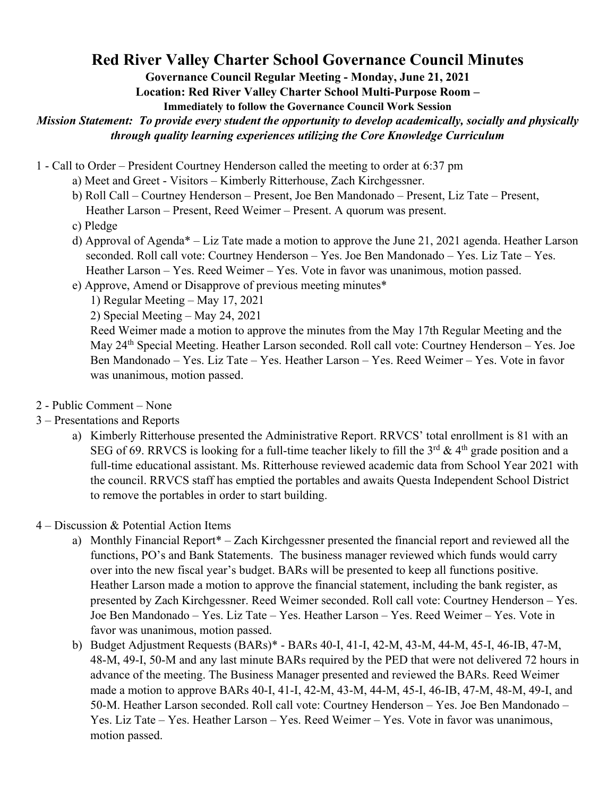## **Red River Valley Charter School Governance Council Minutes**

**Governance Council Regular Meeting - Monday, June 21, 2021**

**Location: Red River Valley Charter School Multi-Purpose Room –**

**Immediately to follow the Governance Council Work Session** 

*Mission Statement: To provide every student the opportunity to develop academically, socially and physically through quality learning experiences utilizing the Core Knowledge Curriculum* 

- 1 Call to Order President Courtney Henderson called the meeting to order at 6:37 pm
	- a) Meet and Greet Visitors Kimberly Ritterhouse, Zach Kirchgessner.
	- b) Roll Call Courtney Henderson Present, Joe Ben Mandonado Present, Liz Tate Present, Heather Larson – Present, Reed Weimer – Present. A quorum was present.
	- c) Pledge
	- d) Approval of Agenda\* Liz Tate made a motion to approve the June 21, 2021 agenda. Heather Larson seconded. Roll call vote: Courtney Henderson – Yes. Joe Ben Mandonado – Yes. Liz Tate – Yes. Heather Larson – Yes. Reed Weimer – Yes. Vote in favor was unanimous, motion passed.
	- e) Approve, Amend or Disapprove of previous meeting minutes\*
		- 1) Regular Meeting May 17, 2021
		- 2) Special Meeting May 24, 2021

Reed Weimer made a motion to approve the minutes from the May 17th Regular Meeting and the May 24<sup>th</sup> Special Meeting. Heather Larson seconded. Roll call vote: Courtney Henderson – Yes. Joe Ben Mandonado – Yes. Liz Tate – Yes. Heather Larson – Yes. Reed Weimer – Yes. Vote in favor was unanimous, motion passed.

- 2 Public Comment None
- 3 Presentations and Reports
	- a) Kimberly Ritterhouse presented the Administrative Report. RRVCS' total enrollment is 81 with an SEG of 69. RRVCS is looking for a full-time teacher likely to fill the  $3^{rd}$  &  $4^{th}$  grade position and a full-time educational assistant. Ms. Ritterhouse reviewed academic data from School Year 2021 with the council. RRVCS staff has emptied the portables and awaits Questa Independent School District to remove the portables in order to start building.

4 – Discussion & Potential Action Items

- a) Monthly Financial Report\* Zach Kirchgessner presented the financial report and reviewed all the functions, PO's and Bank Statements. The business manager reviewed which funds would carry over into the new fiscal year's budget. BARs will be presented to keep all functions positive. Heather Larson made a motion to approve the financial statement, including the bank register, as presented by Zach Kirchgessner. Reed Weimer seconded. Roll call vote: Courtney Henderson – Yes. Joe Ben Mandonado – Yes. Liz Tate – Yes. Heather Larson – Yes. Reed Weimer – Yes. Vote in favor was unanimous, motion passed.
- b) Budget Adjustment Requests (BARs)\* BARs 40-I, 41-I, 42-M, 43-M, 44-M, 45-I, 46-IB, 47-M, 48-M, 49-I, 50-M and any last minute BARs required by the PED that were not delivered 72 hours in advance of the meeting. The Business Manager presented and reviewed the BARs. Reed Weimer made a motion to approve BARs 40-I, 41-I, 42-M, 43-M, 44-M, 45-I, 46-IB, 47-M, 48-M, 49-I, and 50-M. Heather Larson seconded. Roll call vote: Courtney Henderson – Yes. Joe Ben Mandonado – Yes. Liz Tate – Yes. Heather Larson – Yes. Reed Weimer – Yes. Vote in favor was unanimous, motion passed.